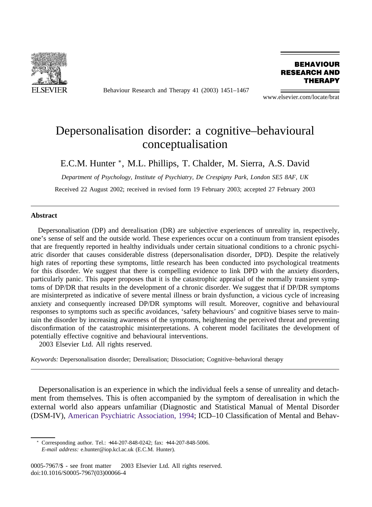

Behaviour Research and Therapy 41 (2003) 1451–1467

**BEHAVIOUR RESEARCH AND THERAPY** 

www.elsevier.com/locate/brat

# Depersonalisation disorder: a cognitive–behavioural conceptualisation

E.C.M. Hunter <sup>∗</sup>, M.L. Phillips, T. Chalder, M. Sierra, A.S. David

*Department of Psychology, Institute of Psychiatry, De Crespigny Park, London SE5 8AF, UK*

Received 22 August 2002; received in revised form 19 February 2003; accepted 27 February 2003

# **Abstract**

Depersonalisation (DP) and derealisation (DR) are subjective experiences of unreality in, respectively, one's sense of self and the outside world. These experiences occur on a continuum from transient episodes that are frequently reported in healthy individuals under certain situational conditions to a chronic psychiatric disorder that causes considerable distress (depersonalisation disorder, DPD). Despite the relatively high rates of reporting these symptoms, little research has been conducted into psychological treatments for this disorder. We suggest that there is compelling evidence to link DPD with the anxiety disorders, particularly panic. This paper proposes that it is the catastrophic appraisal of the normally transient symptoms of DP/DR that results in the development of a chronic disorder. We suggest that if DP/DR symptoms are misinterpreted as indicative of severe mental illness or brain dysfunction, a vicious cycle of increasing anxiety and consequently increased DP/DR symptoms will result. Moreover, cognitive and behavioural responses to symptoms such as specific avoidances, 'safety behaviours' and cognitive biases serve to maintain the disorder by increasing awareness of the symptoms, heightening the perceived threat and preventing disconfirmation of the catastrophic misinterpretations. A coherent model facilitates the development of potentially effective cognitive and behavioural interventions. 2003 Elsevier Ltd. All rights reserved.

*Keywords:* Depersonalisation disorder; Derealisation; Dissociation; Cognitive–behavioral therapy

Depersonalisation is an experience in which the individual feels a sense of unreality and detachment from themselves. This is often accompanied by the symptom of derealisation in which the external world also appears unfamiliar (Diagnostic and Statistical Manual of Mental Disorder (DSM-IV), [American Psychiatric Association, 1994;](#page--1-0) ICD–10 Classification of Mental and Behav-

<sup>∗</sup> Corresponding author. Tel.: +44-207-848-0242; fax: +44-207-848-5006. *E-mail address:* e.hunter@iop.kcl.ac.uk (E.C.M. Hunter).

<sup>0005-7967/\$ -</sup> see front matter 2003 Elsevier Ltd. All rights reserved. doi:10.1016/S0005-7967(03)00066-4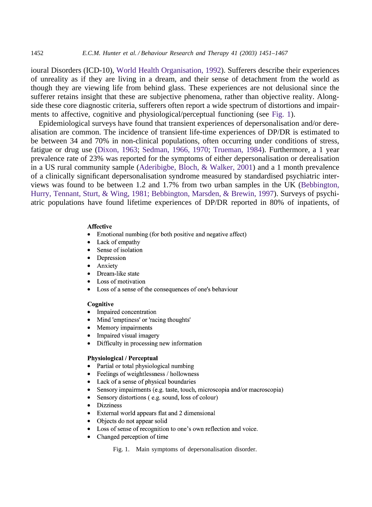ioural Disorders (ICD-10), World Health Organisation, 1992). Sufferers describe their experiences of unreality as if they are living in a dream, and their sense of detachment from the world as though they are viewing life from behind glass. These experiences are not delusional since the sufferer retains insight that these are subjective phenomena, rather than objective reality. Alongside these core diagnostic criteria, sufferers often report a wide spectrum of distortions and impairments to affective, cognitive and physiological/perceptual functioning (see Fig. 1).

Epidemiological surveys have found that transient experiences of depersonalisation and/or derealisation are common. The incidence of transient life-time experiences of DP/DR is estimated to be between 34 and 70% in non-clinical populations, often occurring under conditions of stress, fatigue or drug use (Dixon, 1963; Sedman, 1966, 1970; Trueman, 1984). Furthermore, a 1 year prevalence rate of 23% was reported for the symptoms of either depersonalisation or derealisation in a US rural community sample (Aderibigbe, Bloch, & Walker, 2001) and a 1 month prevalence of a clinically significant depersonalisation syndrome measured by standardised psychiatric interviews was found to be between 1.2 and 1.7% from two urban samples in the UK (Bebbington, Hurry, Tennant, Sturt, & Wing, 1981; Bebbington, Marsden, & Brewin, 1997). Surveys of psychiatric populations have found lifetime experiences of DP/DR reported in 80% of inpatients, of

## **Affective**

- Emotional numbing (for both positive and negative affect)  $\bullet$
- Lack of empathy
- Sense of isolation
- Depression
- Anxiety
- Dream-like state
- $\bullet$ Loss of motivation
- Loss of a sense of the consequences of one's behaviour

#### Cognitive

- Impaired concentration
- Mind 'emptiness' or 'racing thoughts'
- Memory impairments
- $\bullet$ Impaired visual imagery
- Difficulty in processing new information

## **Physiological / Perceptual**

- Partial or total physiological numbing
- $\bullet$ Feelings of weightlessness / hollowness
- Lack of a sense of physical boundaries
- Sensory impairments (e.g. taste, touch, microscopia and/or macroscopia)
- Sensory distortions (e.g. sound, loss of colour)
- Dizziness
- External world appears flat and 2 dimensional
- Objects do not appear solid
- Loss of sense of recognition to one's own reflection and voice.
- Changed perception of time

Fig. 1. Main symptoms of depersonalisation disorder.

1452